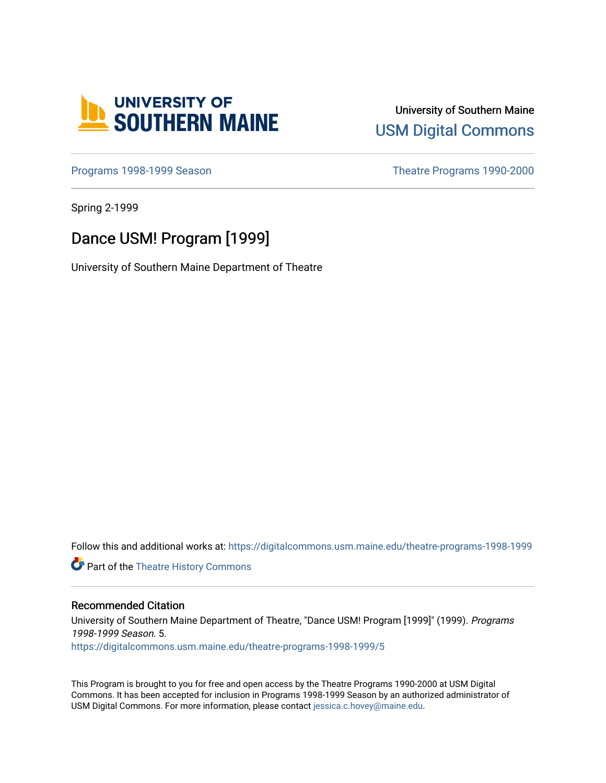

University of Southern Maine [USM Digital Commons](https://digitalcommons.usm.maine.edu/) 

[Programs 1998-1999 Season](https://digitalcommons.usm.maine.edu/theatre-programs-1998-1999) **Theatre Programs 1990-2000** 

Spring 2-1999

# Dance USM! Program [1999]

University of Southern Maine Department of Theatre

Follow this and additional works at: [https://digitalcommons.usm.maine.edu/theatre-programs-1998-1999](https://digitalcommons.usm.maine.edu/theatre-programs-1998-1999?utm_source=digitalcommons.usm.maine.edu%2Ftheatre-programs-1998-1999%2F5&utm_medium=PDF&utm_campaign=PDFCoverPages) 

**Part of the [Theatre History Commons](http://network.bepress.com/hgg/discipline/553?utm_source=digitalcommons.usm.maine.edu%2Ftheatre-programs-1998-1999%2F5&utm_medium=PDF&utm_campaign=PDFCoverPages)** 

#### Recommended Citation

University of Southern Maine Department of Theatre, "Dance USM! Program [1999]" (1999). Programs 1998-1999 Season. 5. [https://digitalcommons.usm.maine.edu/theatre-programs-1998-1999/5](https://digitalcommons.usm.maine.edu/theatre-programs-1998-1999/5?utm_source=digitalcommons.usm.maine.edu%2Ftheatre-programs-1998-1999%2F5&utm_medium=PDF&utm_campaign=PDFCoverPages) 

This Program is brought to you for free and open access by the Theatre Programs 1990-2000 at USM Digital Commons. It has been accepted for inclusion in Programs 1998-1999 Season by an authorized administrator of USM Digital Commons. For more information, please contact [jessica.c.hovey@maine.edu](mailto:ian.fowler@maine.edu).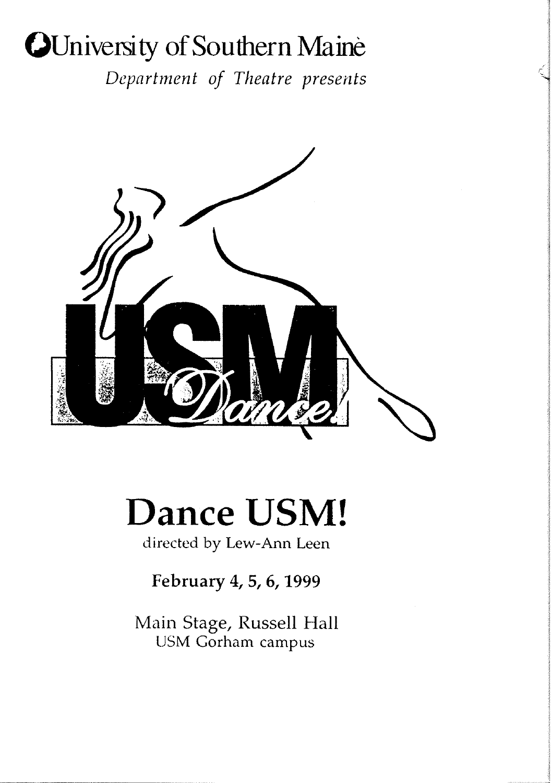# **()University of Southern** Maine

*Department of Theatre presents* 



# **Dance USM!**

directed by Lew-Ann Leen

# **February 4, 5, 6, 1999**

Main Stage, Russell Hall USM Gorham campus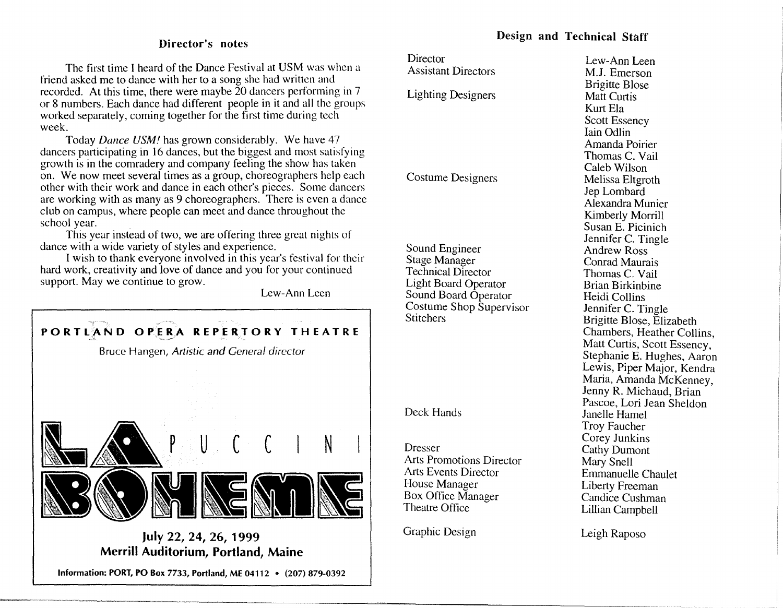### Director's notes

The first time I heard of the Dance Festival at USM was when a friend asked me to dance with her to a song she had written and recorded. At this time, there were maybe  $\tilde{2}0$  dancers performing in 7 or 8 numbers. Each dance had different people in it and all the groups worked separately, coming together for the first time during tech week.

Today *Dance USM!* has grown considerably. We have 47 dancers participating in 16 dances, but the biggest and most satisfying growth is in the comradery and company feeling the show has taken on. We now meet several times as a group, choreographers help each other with their work and dance in each other's pieces. Some dancers are working with as many as 9 choreographers. There is even a dance club on campus, where people can meet and dance throughout the school year. .

This year instead of two, we arc offering three great nights of dance with a wide variety of styles and experience.

I wish to thank everyone involved in this year's festival for their hard work, creativity and Jove of dance and you for your continued support. May we continue to grow.

Lew-Ann Leen



Merrill Auditorium, Portland, Maine

Information: PORT, PO Box 7733, Portland, ME 04112 • (207) 879-0392

# Design and Technical Staff

| Director                        | Lew-Ann Leen                                       |
|---------------------------------|----------------------------------------------------|
| <b>Assistant Directors</b>      | M.J. Emerson                                       |
|                                 | <b>Brigitte Blose</b>                              |
| <b>Lighting Designers</b>       | <b>Matt Curtis</b>                                 |
|                                 | Kurt Ela                                           |
|                                 | Scott Essency                                      |
|                                 | Iain Odlin                                         |
|                                 | Amanda Poirier                                     |
|                                 | Thomas C. Vail                                     |
|                                 | Caleb Wilson                                       |
| Costume Designers               | Melissa Eltgroth                                   |
|                                 | Jep Lombard                                        |
|                                 | Alexandra Munier                                   |
|                                 |                                                    |
|                                 | Kimberly Morrill<br>Susan E. Picinich              |
|                                 |                                                    |
| Sound Engineer                  | Jennifer C. Tingle<br><b>Andrew Ross</b>           |
| <b>Stage Manager</b>            | Conrad Maurais                                     |
| <b>Technical Director</b>       |                                                    |
| <b>Light Board Operator</b>     | Thomas C. Vail<br><b>Brian Birkinbine</b>          |
| Sound Board Operator            | Heidi Collins                                      |
| Costume Shop Supervisor         |                                                    |
| <b>Stitchers</b>                | Jennifer C. Tingle                                 |
|                                 | Brigitte Blose, Elizabeth                          |
|                                 | Chambers, Heather Collins,                         |
|                                 | Matt Curtis, Scott Essency,                        |
|                                 | Stephanie E. Hughes, Aaron                         |
|                                 | Lewis, Piper Major, Kendra                         |
|                                 | Maria, Amanda McKenney,<br>Jenny R. Michaud, Brian |
|                                 | Pascoe, Lori Jean Sheldon                          |
| Deck Hands                      | Janelle Hamel                                      |
|                                 | Troy Faucher                                       |
|                                 | Corey Junkins                                      |
| Dresser                         | <b>Cathy Dumont</b>                                |
| <b>Arts Promotions Director</b> | Mary Snell                                         |
| <b>Arts Events Director</b>     | Emmanuelle Chaulet                                 |
| House Manager                   | <b>Liberty Freeman</b>                             |
| Box Office Manager              | Candice Cushman                                    |
| Theatre Office                  | Lillian Campbell                                   |
|                                 |                                                    |
| Graphic Design                  | Leigh Raposo                                       |
|                                 |                                                    |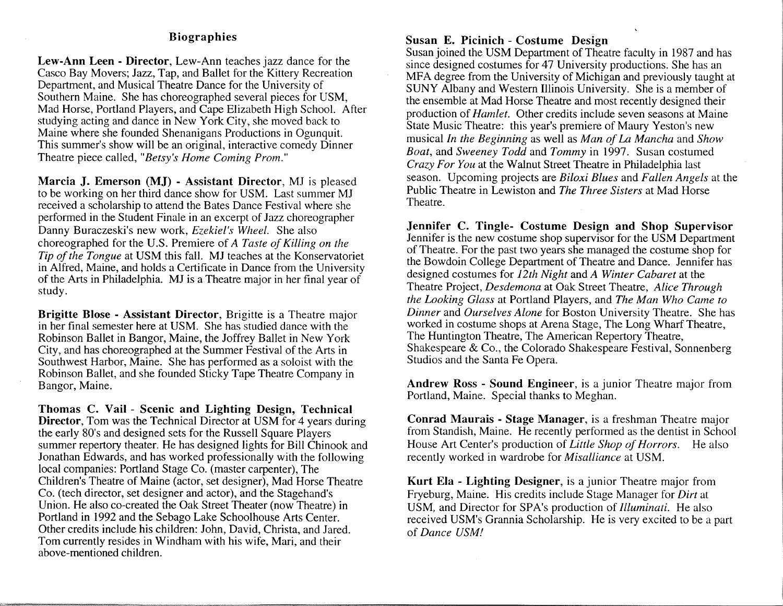# Biographies

Lew-Ann Leen - Director, Lew-Ann teaches jazz dance for the Casco Bay Movers; Jazz, Tap, and Ballet for the Kittery Recreation Department, and Musical Theatre Dance for the University of Southern Maine. She has choreographed several pieces for USM, Mad Horse, Portland Players, and Cape Elizabeth High School. After studying acting and dance in New York City, she moved back to Maine where she founded Shenanigans Productions in Ogunquit. This summer's show will be an original, interactive comedy Dinner Theatre piece called, *"Betsy's Home Coming Prom."* 

Marcia J. Emerson (MJ) - Assistant Director, MJ is pleased to be working on her third dance show for USM. Last summer MJ received a scholarship to attend the Bates Dance Festival where she performed in the Student Finale in an excerpt of Jazz choreographer Danny Buraczeski's new work, *Ezekiel's Wheel.* She also choreographed for the U.S. Premiere of *A Taste of Killing on the Tip of the Tongue* at USM this fall. MJ teaches at the Konservatoriet in Alfred, Maine, and holds a Certificate in Dance from the University of the Arts in Philadelphia. MJ is a Theatre major in her final year of study.

Brigitte Blose - Assistant Director, Brigitte is a Theatre major in her final semester here at USM. She has studied dance with the Robinson Ballet in Bangor, Maine, the Jaffrey Ballet in New York City, and has choreographed at the Summer Festival of the Arts in Southwest Harbor, Maine. She has performed as a soloist with the Robinson Ballet, and she founded Sticky Tape Theatre Company in Bangor, Maine.

Thomas C. Vail - Scenic and Lighting Design, Technical Director, Tom was the Technical Director at USM for 4 years during the early 80's and designed sets for the Russell Square Players summer repertory theater. He has designed lights for Bill Chinook and Jonathan Edwards, and has worked professionally with the following local companies: Portland Stage Co. (master carpenter), The Children's Theatre of Maine (actor, set designer), Mad Horse Theatre Co. (tech director, set designer and actor), and the Stagehand's Union. He also co-created the Oak Street Theater (now Theatre) in Portland in 1992 and the Sebago Lake Schoolhouse Arts Center. Other credits include his children: John, David, Christa, and Jared. Tom currently resides in Windham with his wife, Mari, and their above-mentioned children.

:.L.;rn = --- -~-===-""" "· = '

# Susan E. Picinich - Costume Design

Susan joined the USM Department of Theatre faculty in 1987 and has since designed costumes for 47 University productions. She has an MFA degree from the University of Michigan and previously taught at SUNY Albany and Western Illinois University. She is a member of the ensemble at Mad Horse Theatre and most recently designed their production of *Hamlet.* Other credits include seven seasons at Maine State Music Theatre: this year's premiere of Maury Yeston's new musical *In the Beginning* as well as *Man of La Mancha* and *Show Boat,* and *Sweeney Todd* and *Tommy* in 1997. Susan costumed *Crazy For You* at the Walnut Street Theatre in Philadelphia last season. Upcoming projects are *Biloxi Blues* and *Fallen Angels* at the Public Theatre in Lewiston and *The Three Sisters* at Mad Horse Theatre.

Jennifer C. Tingle- Costume Design and Shop Supervisor Jennifer is the new costume shop supervisor for the USM Department of Theatre. For the past two years she managed the costume shop for the Bowdoin College Department of Theatre and Dance. Jennifer has designed costumes for *12th Night* and *A Winter Cabaret* at the Theatre Project, *Desdemona* at Oak Street Theatre, *Alice Through the Looking Glass* at Portland Players, and *The Man Who Came to Dinner* and *Ourselves Alone* for Boston University Theatre. She has worked in costume shops at Arena Stage, The Long Wharf Theatre, The Huntington Theatre, The American Repertory Theatre, Shakespeare & Co., the Colorado Shakespeare Festival, Sonnenberg Studios and the Santa Fe Opera.

Andrew Ross - Sound Engineer, is a junior Theatre major from Portland, Maine. Special thanks to Meghan.

Conrad Maurais - Stage Manager, is a freshman Theatre major from Standish, Maine. He recently performed as the dentist in School House Art Center's production of *Little Shop of Horrors.* He also recently worked in wardrobe for *Misalliance* at USM.

Kurt Ela - Lighting Designer, is a junior Theatre major from Fryeburg, Maine. His credits include Stage Manager for *Dirt* at USM, and Director for SPA's production of *Illuminati.* He also received USM's Grannia Scholarship. He is very excited to be a part of *Dance USM!*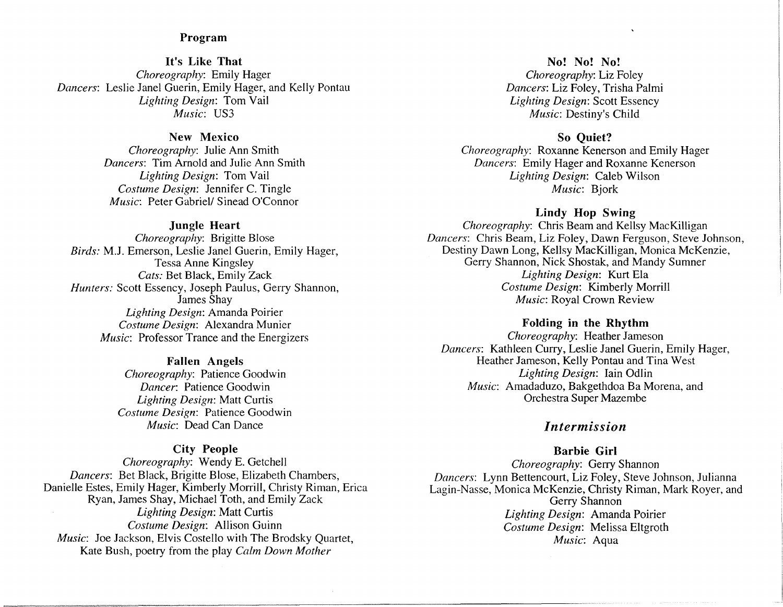#### Program

It's Like That *Choreography:* Emily Hager *Dancers:* Leslie Janel Guerin, Emily Hager, and Kelly Pontau *Lighting Design:* Tom Vail *Music:* US3

#### New Mexico

*Choreography:* Julie Ann Smith *Dancers:* Tim Arnold and Julie Ann Smith *Lighting Design:* Tom Vail *Costume Design:* Jennifer C. Tingle *Music:* Peter Gabriel/ Sinead O'Connor

#### Jungle Heart

*Choreography:* Brigitte Blose *Birds:* M.J. Emerson, Leslie Janel Guerin, Emily Hager, Tessa Anne Kingsley *Cats:* Bet Black, Emily Zack *Hunters:* Scott Essency, Joseph Paulus, Gerry Shannon, James Shay *Lighting Design:* Amanda Poirier *Costume Design:* Alexandra Munier *Music:* Professor Trance and the Energizers

#### Fallen Angels

*Choreography:* Patience Goodwin *Dancer:* Patience Goodwin *Lighting Design:* Matt Curtis *Costume Design:* Patience Goodwin *Music:* Dead Can Dance

#### City People

*Choreography:* Wendy E. Getchell *Dancers:* Bet Black, Brigitte Blose, Elizabeth Chambers, Danielle Estes, Emily Hager, Kimberly Morrill, Christy Riman, Erica Ryan, James Shay, Michael Toth, and Emily Zack *Lighting Design:* Matt Curtis *Costume Design:* Allison Guinn *Music:* Joe Jackson, Elvis Costello with The Brodsky Quartet, Kate Bush, poetry from the play *Calm Down Mother* 

c= .. =----%-==· -·-------------------------------------------------·

No! No! No! *Choreography:* Liz Foley *Dancers:* Liz Foley, Trisha Palmi *Lighting Design:* Scott Essency *Music:* Destiny's Child

#### So Quiet?

*Choreography:* Roxanne Kenerson and Emily Hager *Dancers:* Emily Hager and Roxanne Kenerson *Lighting Design:* Caleb Wilson *Music:* Bjork

# Lindy Hop Swing

*Choreography:* Chris Beam and Kellsy MacKilligan *Dancers:* Chris Beam, Liz Foley, Dawn Ferguson, Steve Johnson, Destiny Dawn Long, Kellsy MacKilligan, Monica McKenzie, Gerry Shannon, Nick Shostak, and Mandy Sumner *Lighting Design:* Kurt Ela *Costume Design:* Kimberly Morrill *Music:* Royal Crown Review

#### Folding in the Rhythm

*Choreography:* Heather Jameson *Dancers:* Kathleen Curry, Leslie Janel Guerin, Emily Hager, Heather Jameson, Kelly Pontau and Tina West *Lighting Design:* Iain Odlin *Music:* Amadaduzo, Bakgethdoa Ba Morena, and Orchestra Super Mazembe

# *Intermission*

#### Barbie Girl

*Choreography:* Gerry Shannon *Dancers:* Lynn Bettencourt, Liz Foley, Steve Johnson, Julianna Lagin-Nasse, Monica McKenzie, Christy Riman, Mark Royer, and Gerry Shannon *lighting Design:* Amanda Poirier *Costume Design:* Melissa Eltgroth *Music:* Aqua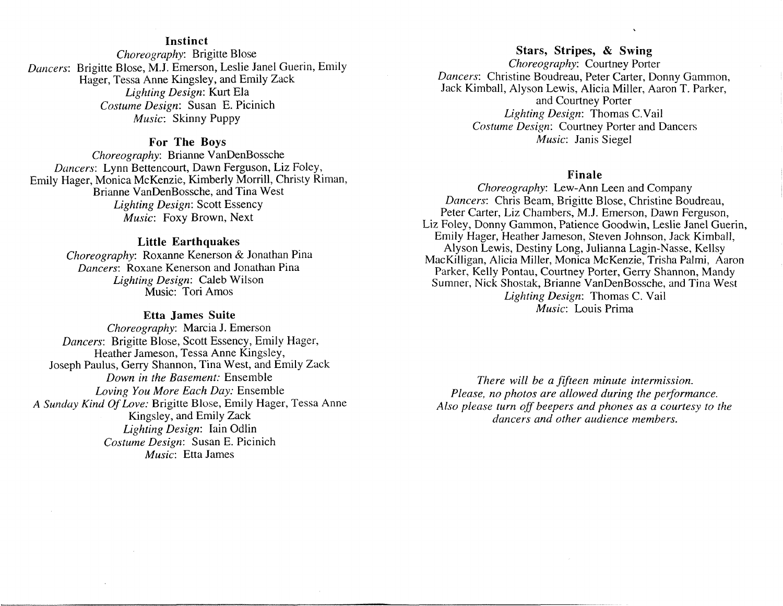#### **Instinct**

*Dancers:*  Brigitte Blose, M.J. Emerson, Leslie Janel Guerin, Emily *Choreography:* Brigitte Blose Hager, Tessa Anne Kingsley, and Emily Zack *Lighting Design:* Kurt Ela *Costume Design:* Susan E. Picinich *Music:* Skinny Puppy

# **For The Boys**

*Choreography: Brianne VanDenBossche Dancers:* Lynn Bettencourt, Dawn Ferguson, Liz Foley, Emily Hager, Monica McKenzie, Kimberly Morrill, Christy Riman, Brianne VanDenBossche, and Tina West *Lighting Design:* Scott Essency *Music:* Foxy Brown, Next

#### **Little Earthquakes**

*Choreography:* Roxanne Kenerson & Jonathan Pina *Dancers:* Roxane Kenerson and Jonathan Pina *Lighting Design:* Caleb Wilson Music: Tori Amos

#### **Etta James Suite**

*Choreography:* Marcia J. Emerson *Dancers:* Brigitte Blose, Scott Essency, Emily Hager, Heather Jameson, Tessa Anne Kingsley, Joseph Paulus, Gerry Shannon, Tina West, and Emily Zack *Down in the Basement:* Ensemble *Loving You More Each Day:* Ensemble *A Sunday Kind Of Love:* Brigitte Blose, Emily Hager, Tessa Anne Kingsley, and Emily Zack *Lighting Design:* Iain Odlin *Costume Design:* Susan E. Picinich *Music:* Etta James

# **Stars, Stripes, & Swing**  *Choreography:* Courtney Porter *Dancers:* Christine Boudreau, Peter Carter, Donny Gammon, Jack Kimball, Alyson Lewis, Alicia Miller, Aaron T. Parker, and Courtney Porter *Lighting Design:* Thomas C.Vail *Costume Design:* Courtney Porter and Dancers *Music:* Janis Siegel

#### **Finale**

*Choreography:* Lew-Ann Leen and Company *Dancers:* Chris Beam, Brigitte Blose, Christine Boudreau, Peter Carter, Liz Chambers, M.J. Emerson, Dawn Ferguson, Liz Foley, Donny Gammon, Patience Goodwin, Leslie Janel Guerin, Emily Hager, Heather Jameson, Steven Johnson, Jack Kimball, Alyson Lewis, Destiny Long, Julianna Lagin-Nasse, Kellsy MacKilligan, Alicia Miller, Monica McKenzie, Trisha Palmi, Aaron Parker, Kelly Pontau, Courtney Porter, Gerry Shannon, Mandy Sumner, Nick Shostak, Brianne VanDenBossche, and Tina West *Lighting Design:* Thomas C. Vail *Music:* Louis Prima

*There will be a fifteen minute intermission. Please, no photos are allowed during the performance. Also please turn off beepers and phones as a courtesy to the dancers and other audience members.*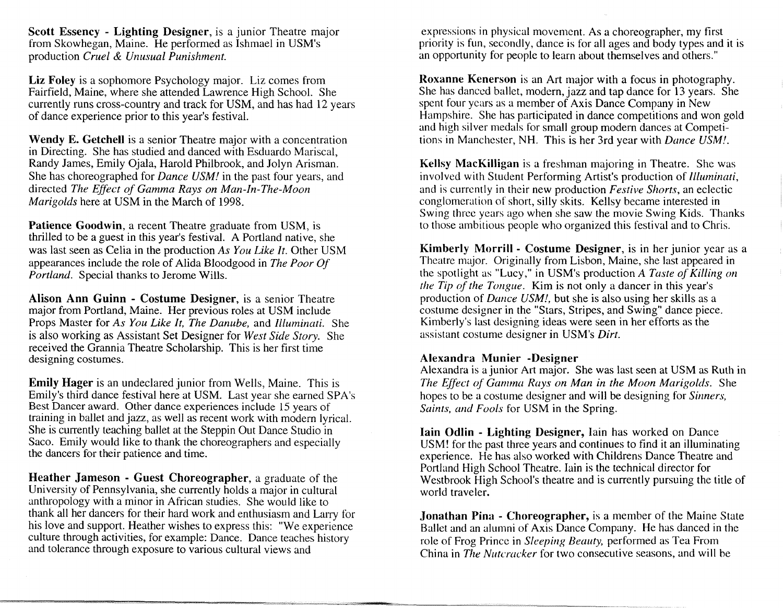**Scott** Essency - **Lighting Designer,** is a junior Theatre major from Skowhegan, Maine. He performed as Ishmael in USM's production *Cruel* & *Unusual Punishment.* 

**Liz Foley** is a sophomore Psychology major. Liz comes from Fairfield, Maine, where she attended Lawrence High School. She currently runs cross-country and track for USM, and has had 12 years of dance experience prior to this year's festival.

**Wendy E. Getchell** is a senior Theatre major with a concentration in Directing. She has studied and danced with Esduardo Mariscal, Randy James, Emily Ojala, Harold Philbrook, and Jolyn Arisman. She has choreographed for *Dance USM!* in the past four years, and directed *The Effect of Gamma Rays on Man-In-The-Moon Marigolds* here at USM in the March of 1998.

**Patience Goodwin,** a recent Theatre graduate from USM, is thrilled to be a guest in this year's festival. A Portland native, she was last seen as Celia in the production *As You Like It.* Other USM appearances include the role of Alida Bloodgood in *The Poor Of Portland.* Special thanks to Jerome Wills.

**Alison Ann Guinn - Costume Designer,** is a senior Theatre major from Portland, Maine. Her previous roles at USM include Props Master for *As You Like It, The Danube,* and *Illuminati.* She is also working as Assistant Set Designer for *West Side Story.* She received the Grannia Theatre Scholarship. This is her first time designing costumes.

**Emily Hager** is an undeclared junior from Wells, Maine. This is Emily's third dance festival here at USM. Last year she earned SPA's Best Dancer award. Other dance experiences include 15 years of training in ballet and jazz, as well as recent work with modern lyrical. She is currently teaching ballet at the Steppin Out Dance Studio in Saco. Emily would like to thank the choreographers and especially the dancers for their patience and time.

**Heather Jameson - Guest Choreographer,** a graduate of the University of Pennsylvania, she currently holds a major in cultural anthropology with a minor in African studies. She would like to thank all her dancers for their hard work and enthusiasm and Larry for his love and support. Heather wishes to express this: "We experience culture through activities, for example: Dance. Dance teaches history and tolerance through exposure to various cultural views and

= -·-·,-,-- - - *""!Y-;.,:£<#,;=~:=vo* ,\_,.\_,,,\_="''"'-'"--""=/,"-C~-~.~''":::::.:::CC:Z~ 4,

expressions in physical movement. As a choreographer, my first priority is fun, secondly, dance is for all ages and body types and it is an opportunity for people to learn about themselves and others."

**Roxanne Kenerson** is an Art major with a focus in photography. She has danced ballet, modern, jazz and tap dance for 13 years. She spent four years as a member of Axis Dance Company in New Hampshire. She has participated in dance competitions and won gold and high silver medals for small group modern dances at Competitions in Manchester, NH. This is her 3rd year with *Dance USM!.* 

**Kellsy MacKilligan** is a freshman majoring in Theatre. She was involved with Student Performing Artist's production of *Illuminati,*  and is currently in their new production *Festive Shorts,* an eclectic conglomeration of short, silly skits. Kellsy became interested in Swing three years ago when she saw the movie Swing Kids. Thanks to those ambitious people who organized this festival and to Chris.

**Kimberly Morrill - Costume Designer,** is in her junior year as a Theatre major. Originally from Lisbon, Maine, she last appeared in the spotlight as "Lucy," in USM's production *A Taste of Killing on the Tip of the Tongue.* Kim is not only a dancer in this year's production of *Dance USM!,* but she is also using her skills as a costume designer in the "Stars, Stripes, and Swing" dance piece. Kimberly's last designing ideas were seen in her efforts as the assistant costume designer in USM's *Dirt.* 

# **Alexandra Munier -Designer**

Alexandra is a junior Art major. She was last seen at USM as Ruth in *The Effect of Gamma Rays on Man in the Moon Marigolds.* She hopes to be a costume designer and will be designing for *Sinners, Saints, and Fools* for USM in the Spring.

**Iain Odlin - Lighting Designer,** lain has worked on Dance USM! for the past three years and continues to find it an illuminating experience. He has also worked with Childrens Dance Theatre and Portland High School Theatre. Iain is the technical director for Westbrook High School's theatre and is currently pursuing the title of world traveler.

**.Jonathan Pina - Choreographer,** is a member of the Maine State Ballet and an alumni of Axis Dance Company. He has danced in the role of Frog Prince in *Sleeping Beauty,* performed as Tea From China in *The Nutcracker* for two consecutive seasons, and will be